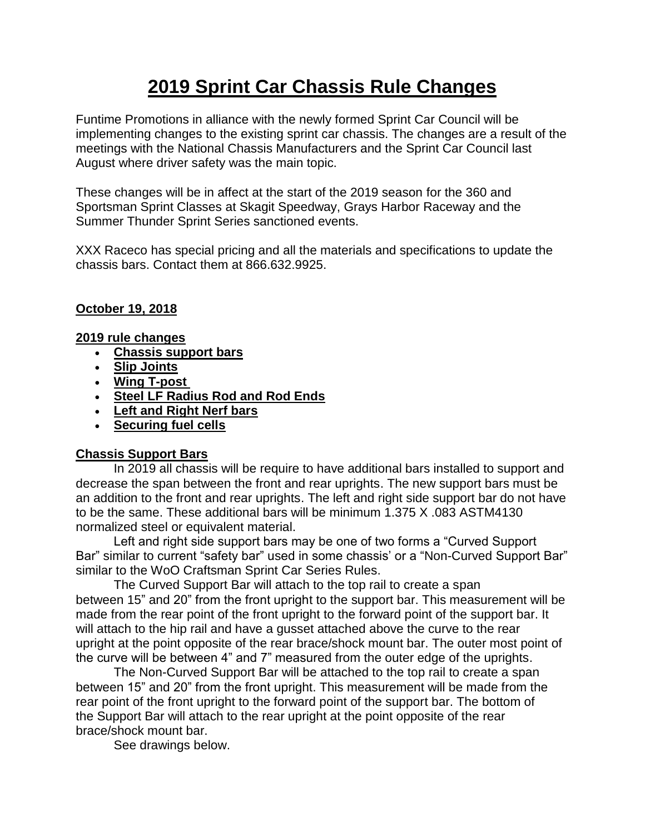# **2019 Sprint Car Chassis Rule Changes**

Funtime Promotions in alliance with the newly formed Sprint Car Council will be implementing changes to the existing sprint car chassis. The changes are a result of the meetings with the National Chassis Manufacturers and the Sprint Car Council last August where driver safety was the main topic.

These changes will be in affect at the start of the 2019 season for the 360 and Sportsman Sprint Classes at Skagit Speedway, Grays Harbor Raceway and the Summer Thunder Sprint Series sanctioned events.

XXX Raceco has special pricing and all the materials and specifications to update the chassis bars. Contact them at 866.632.9925.

## **October 19, 2018**

**2019 rule changes**

- **Chassis support bars**
- **Slip Joints**
- **Wing T-post**
- **Steel LF Radius Rod and Rod Ends**
- **Left and Right Nerf bars**
- **Securing fuel cells**

## **Chassis Support Bars**

In 2019 all chassis will be require to have additional bars installed to support and decrease the span between the front and rear uprights. The new support bars must be an addition to the front and rear uprights. The left and right side support bar do not have to be the same. These additional bars will be minimum 1.375 X .083 ASTM4130 normalized steel or equivalent material.

Left and right side support bars may be one of two forms a "Curved Support Bar" similar to current "safety bar" used in some chassis' or a "Non-Curved Support Bar" similar to the WoO Craftsman Sprint Car Series Rules.

The Curved Support Bar will attach to the top rail to create a span between 15" and 20" from the front upright to the support bar. This measurement will be made from the rear point of the front upright to the forward point of the support bar. It will attach to the hip rail and have a gusset attached above the curve to the rear upright at the point opposite of the rear brace/shock mount bar. The outer most point of the curve will be between 4" and 7" measured from the outer edge of the uprights.

The Non-Curved Support Bar will be attached to the top rail to create a span between 15" and 20" from the front upright. This measurement will be made from the rear point of the front upright to the forward point of the support bar. The bottom of the Support Bar will attach to the rear upright at the point opposite of the rear brace/shock mount bar.

See drawings below.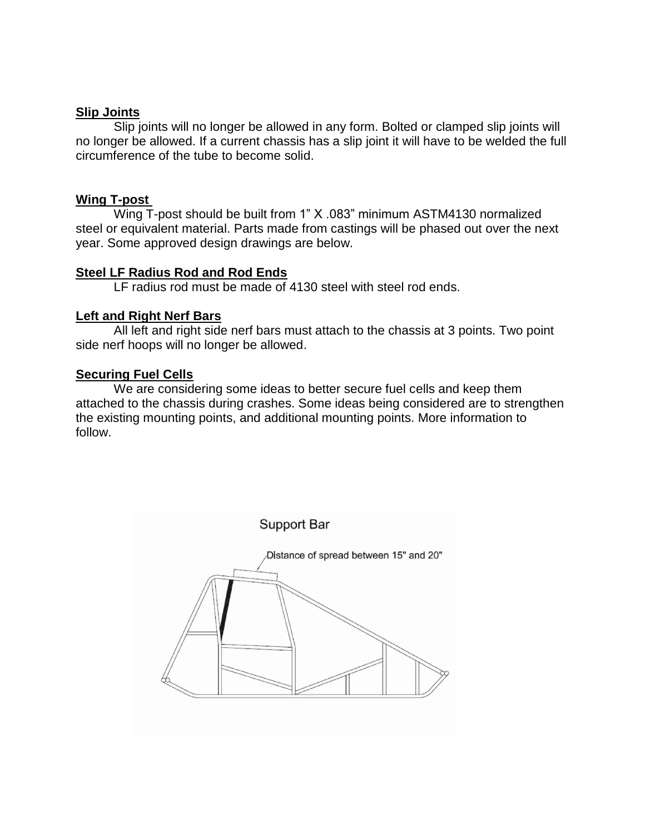#### **Slip Joints**

Slip joints will no longer be allowed in any form. Bolted or clamped slip joints will no longer be allowed. If a current chassis has a slip joint it will have to be welded the full circumference of the tube to become solid.

#### **Wing T-post**

Wing T-post should be built from 1" X .083" minimum ASTM4130 normalized steel or equivalent material. Parts made from castings will be phased out over the next year. Some approved design drawings are below.

### **Steel LF Radius Rod and Rod Ends**

LF radius rod must be made of 4130 steel with steel rod ends.

#### **Left and Right Nerf Bars**

All left and right side nerf bars must attach to the chassis at 3 points. Two point side nerf hoops will no longer be allowed.

#### **Securing Fuel Cells**

We are considering some ideas to better secure fuel cells and keep them attached to the chassis during crashes. Some ideas being considered are to strengthen the existing mounting points, and additional mounting points. More information to follow.